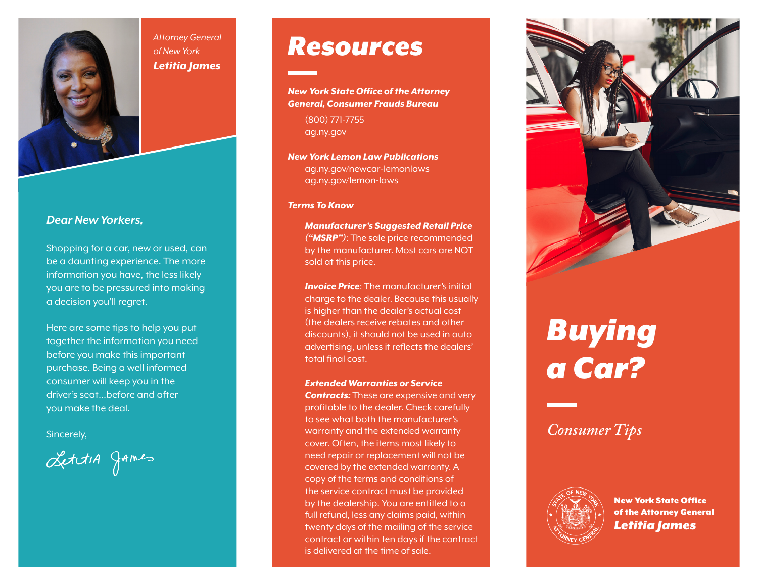

#### *Attorney General of New York Letitia James*

#### *Dear New Yorkers,*

Shopping for a car, new or used, can be a daunting experience. The more information you have, the less likely you are to be pressured into making a decision you'll regret.

Here are some tips to help you put together the information you need before you make this important purchase. Being a well informed consumer will keep you in the driver's seat…before and after you make the deal.

Sincerely,

LettiA games

# *Resources*

*New York State Office of the Attorney General, Consumer Frauds Bureau*

(800) 771-7755 ag.ny.gov

*New York Lemon Law Publications* ag.ny.gov/newcar-lemonlaws ag.ny.gov/lemon-laws

#### *Terms To Know*

*Manufacturer's Suggested Retail Price ("MSRP")*: The sale price recommended by the manufacturer. Most cars are NOT sold at this price.

*Invoice Price: The manufacturer's initial* charge to the dealer. Because this usually is higher than the dealer's actual cost (the dealers receive rebates and other discounts), it should not be used in auto advertising, unless it reflects the dealers' total final cost.

*Extended Warranties or Service Contracts:* These are expensive and very profitable to the dealer. Check carefully to see what both the manufacturer's warranty and the extended warranty cover. Often, the items most likely to need repair or replacement will not be covered by the extended warranty. A copy of the terms and conditions of the service contract must be provided by the dealership. You are entitled to a full refund, less any claims paid, within twenty days of the mailing of the service contract or within ten days if the contract is delivered at the time of sale.



# *Buying a Car?*

*Consumer Tips*



New York State Office of the Attorney General *Letitia James*